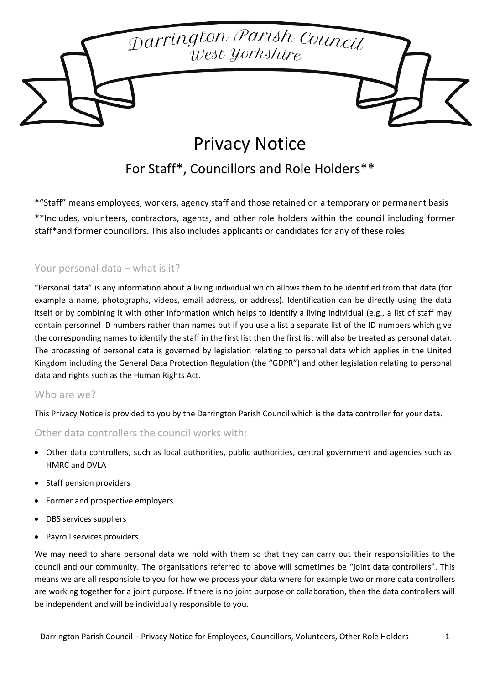# Darrington Parish Council<br>West Yorkshire

# Privacy Notice

## For Staff\*, Councillors and Role Holders\*\*

\*"Staff" means employees, workers, agency staff and those retained on a temporary or permanent basis \*\*Includes, volunteers, contractors, agents, and other role holders within the council including former staff\*and former councillors. This also includes applicants or candidates for any of these roles.

### Your personal data – what is it?

"Personal data" is any information about a living individual which allows them to be identified from that data (for example a name, photographs, videos, email address, or address). Identification can be directly using the data itself or by combining it with other information which helps to identify a living individual (e.g., a list of staff may contain personnel ID numbers rather than names but if you use a list a separate list of the ID numbers which give the corresponding names to identify the staff in the first list then the first list will also be treated as personal data). The processing of personal data is governed by legislation relating to personal data which applies in the United Kingdom including the General Data Protection Regulation (the "GDPR") and other legislation relating to personal data and rights such as the Human Rights Act.

### Who are we?

This Privacy Notice is provided to you by the Darrington Parish Council which is the data controller for your data.

### Other data controllers the council works with:

- Other data controllers, such as local authorities, public authorities, central government and agencies such as HMRC and DVLA
- Staff pension providers
- Former and prospective employers
- DBS services suppliers
- Payroll services providers

We may need to share personal data we hold with them so that they can carry out their responsibilities to the council and our community. The organisations referred to above will sometimes be "joint data controllers". This means we are all responsible to you for how we process your data where for example two or more data controllers are working together for a joint purpose. If there is no joint purpose or collaboration, then the data controllers will be independent and will be individually responsible to you.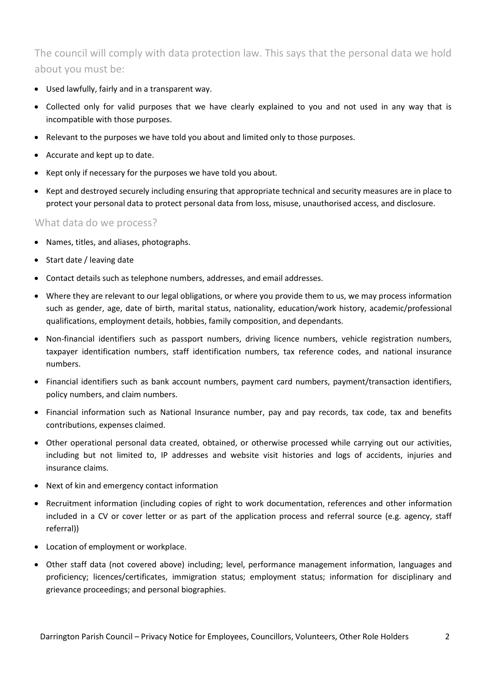The council will comply with data protection law. This says that the personal data we hold about you must be:

- Used lawfully, fairly and in a transparent way.
- Collected only for valid purposes that we have clearly explained to you and not used in any way that is incompatible with those purposes.
- Relevant to the purposes we have told you about and limited only to those purposes.
- Accurate and kept up to date.
- Kept only if necessary for the purposes we have told you about.
- Kept and destroyed securely including ensuring that appropriate technical and security measures are in place to protect your personal data to protect personal data from loss, misuse, unauthorised access, and disclosure.

### What data do we process?

- Names, titles, and aliases, photographs.
- Start date / leaving date
- Contact details such as telephone numbers, addresses, and email addresses.
- Where they are relevant to our legal obligations, or where you provide them to us, we may process information such as gender, age, date of birth, marital status, nationality, education/work history, academic/professional qualifications, employment details, hobbies, family composition, and dependants.
- Non-financial identifiers such as passport numbers, driving licence numbers, vehicle registration numbers, taxpayer identification numbers, staff identification numbers, tax reference codes, and national insurance numbers.
- Financial identifiers such as bank account numbers, payment card numbers, payment/transaction identifiers, policy numbers, and claim numbers.
- Financial information such as National Insurance number, pay and pay records, tax code, tax and benefits contributions, expenses claimed.
- Other operational personal data created, obtained, or otherwise processed while carrying out our activities, including but not limited to, IP addresses and website visit histories and logs of accidents, injuries and insurance claims.
- Next of kin and emergency contact information
- Recruitment information (including copies of right to work documentation, references and other information included in a CV or cover letter or as part of the application process and referral source (e.g. agency, staff referral))
- Location of employment or workplace.
- Other staff data (not covered above) including; level, performance management information, languages and proficiency; licences/certificates, immigration status; employment status; information for disciplinary and grievance proceedings; and personal biographies.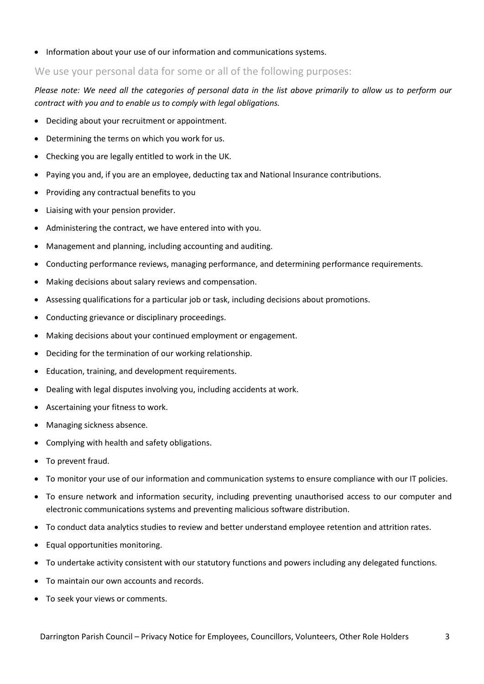• Information about your use of our information and communications systems.

### We use your personal data for some or all of the following purposes:

*Please note: We need all the categories of personal data in the list above primarily to allow us to perform our contract with you and to enable us to comply with legal obligations.* 

- Deciding about your recruitment or appointment.
- Determining the terms on which you work for us.
- Checking you are legally entitled to work in the UK.
- Paying you and, if you are an employee, deducting tax and National Insurance contributions.
- Providing any contractual benefits to you
- Liaising with your pension provider.
- Administering the contract, we have entered into with you.
- Management and planning, including accounting and auditing.
- Conducting performance reviews, managing performance, and determining performance requirements.
- Making decisions about salary reviews and compensation.
- Assessing qualifications for a particular job or task, including decisions about promotions.
- Conducting grievance or disciplinary proceedings.
- Making decisions about your continued employment or engagement.
- Deciding for the termination of our working relationship.
- Education, training, and development requirements.
- Dealing with legal disputes involving you, including accidents at work.
- Ascertaining your fitness to work.
- Managing sickness absence.
- Complying with health and safety obligations.
- To prevent fraud.
- To monitor your use of our information and communication systems to ensure compliance with our IT policies.
- To ensure network and information security, including preventing unauthorised access to our computer and electronic communications systems and preventing malicious software distribution.
- To conduct data analytics studies to review and better understand employee retention and attrition rates.
- Equal opportunities monitoring.
- To undertake activity consistent with our statutory functions and powers including any delegated functions.
- To maintain our own accounts and records.
- To seek your views or comments.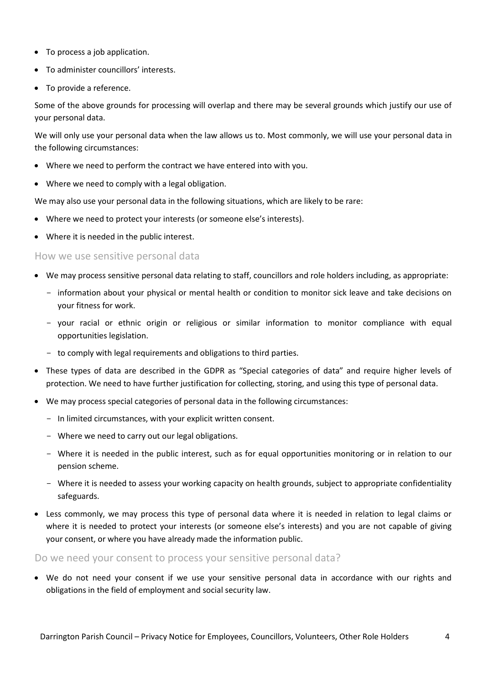- To process a job application.
- To administer councillors' interests.
- To provide a reference.

Some of the above grounds for processing will overlap and there may be several grounds which justify our use of your personal data.

We will only use your personal data when the law allows us to. Most commonly, we will use your personal data in the following circumstances:

- Where we need to perform the contract we have entered into with you.
- Where we need to comply with a legal obligation.

We may also use your personal data in the following situations, which are likely to be rare:

- Where we need to protect your interests (or someone else's interests).
- Where it is needed in the public interest.

How we use sensitive personal data

- We may process sensitive personal data relating to staff, councillors and role holders including, as appropriate:
	- information about your physical or mental health or condition to monitor sick leave and take decisions on your fitness for work.
	- your racial or ethnic origin or religious or similar information to monitor compliance with equal opportunities legislation.
	- to comply with legal requirements and obligations to third parties.
- These types of data are described in the GDPR as "Special categories of data" and require higher levels of protection. We need to have further justification for collecting, storing, and using this type of personal data.
- We may process special categories of personal data in the following circumstances:
	- In limited circumstances, with your explicit written consent.
	- Where we need to carry out our legal obligations.
	- Where it is needed in the public interest, such as for equal opportunities monitoring or in relation to our pension scheme.
	- Where it is needed to assess your working capacity on health grounds, subject to appropriate confidentiality safeguards.
- Less commonly, we may process this type of personal data where it is needed in relation to legal claims or where it is needed to protect your interests (or someone else's interests) and you are not capable of giving your consent, or where you have already made the information public.

Do we need your consent to process your sensitive personal data?

• We do not need your consent if we use your sensitive personal data in accordance with our rights and obligations in the field of employment and social security law.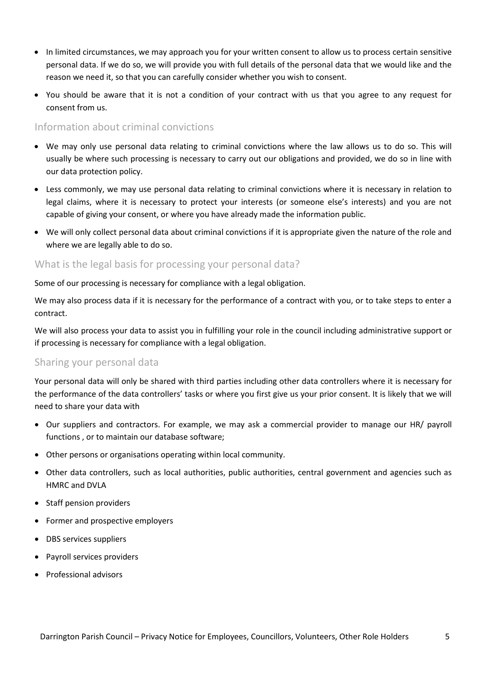- In limited circumstances, we may approach you for your written consent to allow us to process certain sensitive personal data. If we do so, we will provide you with full details of the personal data that we would like and the reason we need it, so that you can carefully consider whether you wish to consent.
- You should be aware that it is not a condition of your contract with us that you agree to any request for consent from us.

### Information about criminal convictions

- We may only use personal data relating to criminal convictions where the law allows us to do so. This will usually be where such processing is necessary to carry out our obligations and provided, we do so in line with our data protection policy.
- Less commonly, we may use personal data relating to criminal convictions where it is necessary in relation to legal claims, where it is necessary to protect your interests (or someone else's interests) and you are not capable of giving your consent, or where you have already made the information public.
- We will only collect personal data about criminal convictions if it is appropriate given the nature of the role and where we are legally able to do so.

### What is the legal basis for processing your personal data?

Some of our processing is necessary for compliance with a legal obligation.

We may also process data if it is necessary for the performance of a contract with you, or to take steps to enter a contract.

We will also process your data to assist you in fulfilling your role in the council including administrative support or if processing is necessary for compliance with a legal obligation.

### Sharing your personal data

Your personal data will only be shared with third parties including other data controllers where it is necessary for the performance of the data controllers' tasks or where you first give us your prior consent. It is likely that we will need to share your data with

- Our suppliers and contractors. For example, we may ask a commercial provider to manage our HR/ payroll functions , or to maintain our database software;
- Other persons or organisations operating within local community.
- Other data controllers, such as local authorities, public authorities, central government and agencies such as HMRC and DVLA
- Staff pension providers
- Former and prospective employers
- DBS services suppliers
- Payroll services providers
- Professional advisors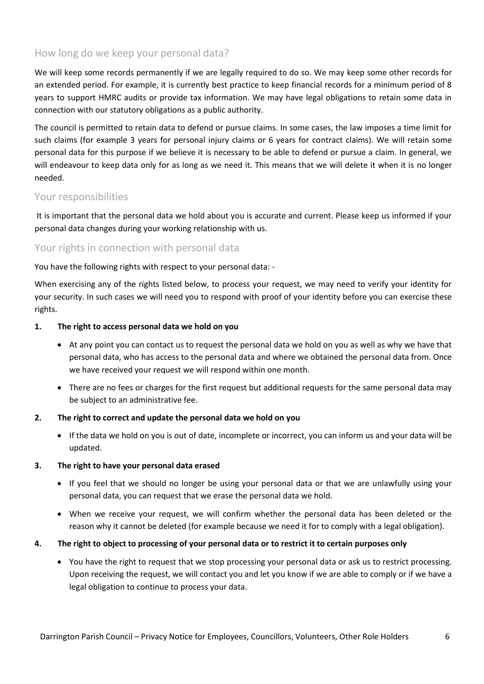### How long do we keep your personal data?

We will keep some records permanently if we are legally required to do so. We may keep some other records for an extended period. For example, it is currently best practice to keep financial records for a minimum period of 8 years to support HMRC audits or provide tax information. We may have legal obligations to retain some data in connection with our statutory obligations as a public authority.

The council is permitted to retain data to defend or pursue claims. In some cases, the law imposes a time limit for such claims (for example 3 years for personal injury claims or 6 years for contract claims). We will retain some personal data for this purpose if we believe it is necessary to be able to defend or pursue a claim. In general, we will endeavour to keep data only for as long as we need it. This means that we will delete it when it is no longer needed.

### Your responsibilities

It is important that the personal data we hold about you is accurate and current. Please keep us informed if your personal data changes during your working relationship with us.

### Your rights in connection with personal data

You have the following rights with respect to your personal data: -

When exercising any of the rights listed below, to process your request, we may need to verify your identity for your security. In such cases we will need you to respond with proof of your identity before you can exercise these rights.

### **1. The right to access personal data we hold on you**

- At any point you can contact us to request the personal data we hold on you as well as why we have that personal data, who has access to the personal data and where we obtained the personal data from. Once we have received your request we will respond within one month.
- There are no fees or charges for the first request but additional requests for the same personal data may be subject to an administrative fee.

### **2. The right to correct and update the personal data we hold on you**

• If the data we hold on you is out of date, incomplete or incorrect, you can inform us and your data will be updated.

### **3. The right to have your personal data erased**

- If you feel that we should no longer be using your personal data or that we are unlawfully using your personal data, you can request that we erase the personal data we hold.
- When we receive your request, we will confirm whether the personal data has been deleted or the reason why it cannot be deleted (for example because we need it for to comply with a legal obligation).

### **4. The right to object to processing of your personal data or to restrict it to certain purposes only**

• You have the right to request that we stop processing your personal data or ask us to restrict processing. Upon receiving the request, we will contact you and let you know if we are able to comply or if we have a legal obligation to continue to process your data.